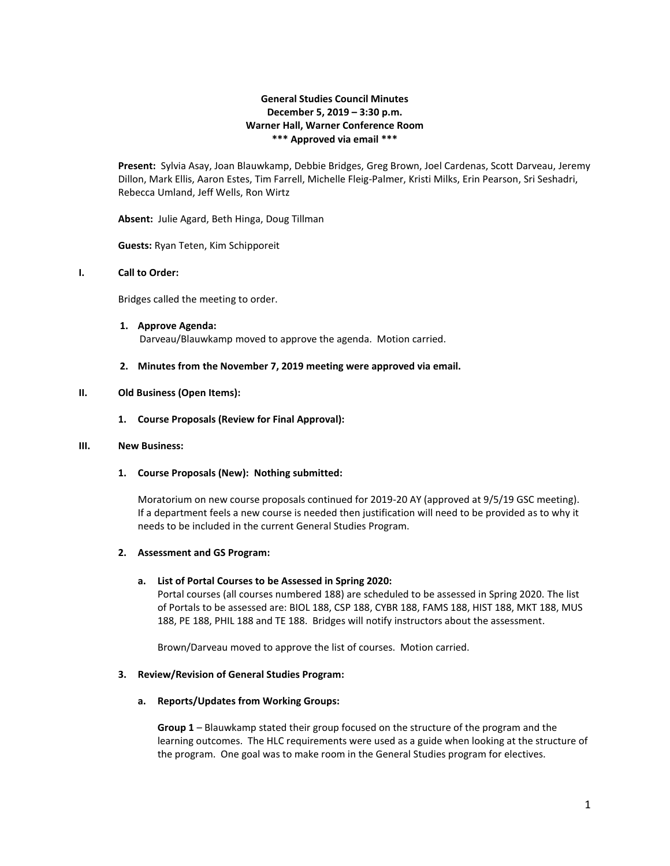# **General Studies Council Minutes December 5, 2019 – 3:30 p.m. Warner Hall, Warner Conference Room \*\*\* Approved via email \*\*\***

**Present:** Sylvia Asay, Joan Blauwkamp, Debbie Bridges, Greg Brown, Joel Cardenas, Scott Darveau, Jeremy Dillon, Mark Ellis, Aaron Estes, Tim Farrell, Michelle Fleig-Palmer, Kristi Milks, Erin Pearson, Sri Seshadri, Rebecca Umland, Jeff Wells, Ron Wirtz

**Absent:** Julie Agard, Beth Hinga, Doug Tillman

**Guests:** Ryan Teten, Kim Schipporeit

## **I. Call to Order:**

Bridges called the meeting to order.

**1. Approve Agenda:** Darveau/Blauwkamp moved to approve the agenda. Motion carried.

#### **2. Minutes from the November 7, 2019 meeting were approved via email.**

#### **II. Old Business (Open Items):**

**1. Course Proposals (Review for Final Approval):**

## **III. New Business:**

**1. Course Proposals (New): Nothing submitted:**

Moratorium on new course proposals continued for 2019-20 AY (approved at 9/5/19 GSC meeting). If a department feels a new course is needed then justification will need to be provided as to why it needs to be included in the current General Studies Program.

#### **2. Assessment and GS Program:**

#### **a. List of Portal Courses to be Assessed in Spring 2020:**

Portal courses (all courses numbered 188) are scheduled to be assessed in Spring 2020. The list of Portals to be assessed are: BIOL 188, CSP 188, CYBR 188, FAMS 188, HIST 188, MKT 188, MUS 188, PE 188, PHIL 188 and TE 188. Bridges will notify instructors about the assessment.

Brown/Darveau moved to approve the list of courses. Motion carried.

## **3. Review/Revision of General Studies Program:**

#### **a. Reports/Updates from Working Groups:**

**Group 1** – Blauwkamp stated their group focused on the structure of the program and the learning outcomes. The HLC requirements were used as a guide when looking at the structure of the program. One goal was to make room in the General Studies program for electives.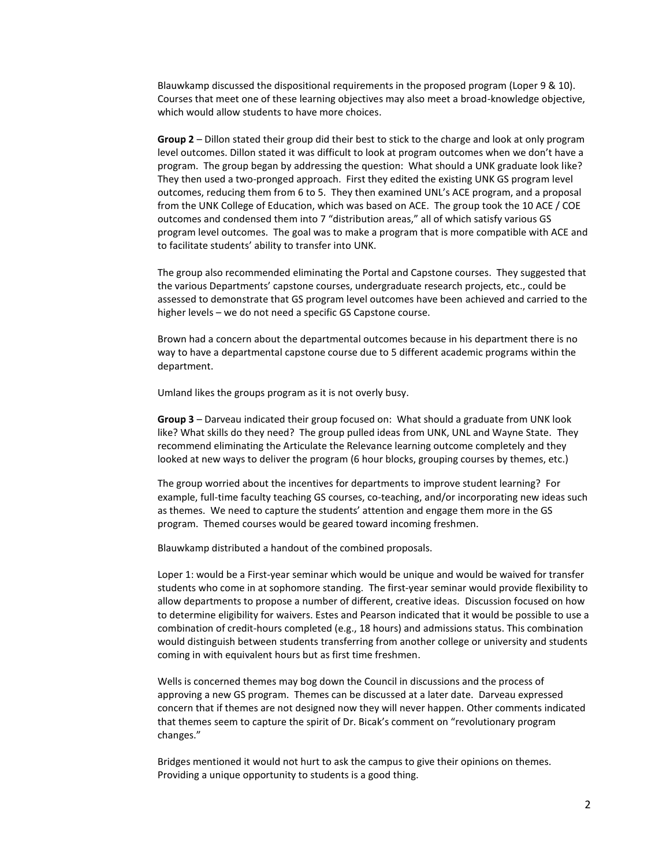Blauwkamp discussed the dispositional requirements in the proposed program (Loper 9 & 10). Courses that meet one of these learning objectives may also meet a broad-knowledge objective, which would allow students to have more choices.

**Group 2** – Dillon stated their group did their best to stick to the charge and look at only program level outcomes. Dillon stated it was difficult to look at program outcomes when we don't have a program. The group began by addressing the question: What should a UNK graduate look like? They then used a two-pronged approach. First they edited the existing UNK GS program level outcomes, reducing them from 6 to 5. They then examined UNL's ACE program, and a proposal from the UNK College of Education, which was based on ACE. The group took the 10 ACE / COE outcomes and condensed them into 7 "distribution areas," all of which satisfy various GS program level outcomes. The goal was to make a program that is more compatible with ACE and to facilitate students' ability to transfer into UNK.

The group also recommended eliminating the Portal and Capstone courses. They suggested that the various Departments' capstone courses, undergraduate research projects, etc., could be assessed to demonstrate that GS program level outcomes have been achieved and carried to the higher levels – we do not need a specific GS Capstone course.

Brown had a concern about the departmental outcomes because in his department there is no way to have a departmental capstone course due to 5 different academic programs within the department.

Umland likes the groups program as it is not overly busy.

**Group 3** – Darveau indicated their group focused on: What should a graduate from UNK look like? What skills do they need? The group pulled ideas from UNK, UNL and Wayne State. They recommend eliminating the Articulate the Relevance learning outcome completely and they looked at new ways to deliver the program (6 hour blocks, grouping courses by themes, etc.)

The group worried about the incentives for departments to improve student learning? For example, full-time faculty teaching GS courses, co-teaching, and/or incorporating new ideas such as themes. We need to capture the students' attention and engage them more in the GS program. Themed courses would be geared toward incoming freshmen.

Blauwkamp distributed a handout of the combined proposals.

Loper 1: would be a First-year seminar which would be unique and would be waived for transfer students who come in at sophomore standing. The first-year seminar would provide flexibility to allow departments to propose a number of different, creative ideas. Discussion focused on how to determine eligibility for waivers. Estes and Pearson indicated that it would be possible to use a combination of credit-hours completed (e.g., 18 hours) and admissions status. This combination would distinguish between students transferring from another college or university and students coming in with equivalent hours but as first time freshmen.

Wells is concerned themes may bog down the Council in discussions and the process of approving a new GS program. Themes can be discussed at a later date. Darveau expressed concern that if themes are not designed now they will never happen. Other comments indicated that themes seem to capture the spirit of Dr. Bicak's comment on "revolutionary program changes."

Bridges mentioned it would not hurt to ask the campus to give their opinions on themes. Providing a unique opportunity to students is a good thing.